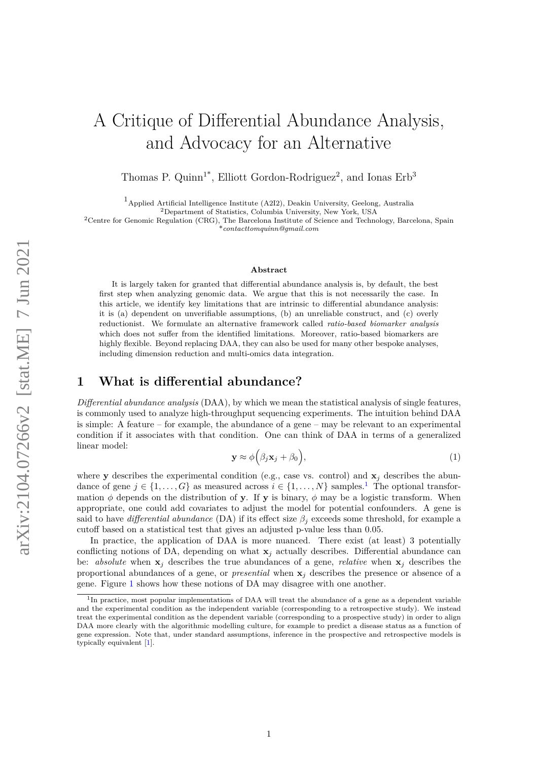# A Critique of Differential Abundance Analysis, and Advocacy for an Alternative

Thomas P. Quinn<sup>1\*</sup>, Elliott Gordon-Rodriguez<sup>2</sup>, and Ionas Erb<sup>3</sup>

1Applied Artificial Intelligence Institute (A2I2), Deakin University, Geelong, Australia

<sup>2</sup>Department of Statistics, Columbia University, New York, USA

<sup>2</sup>Centre for Genomic Regulation (CRG), The Barcelona Institute of Science and Technology, Barcelona, Spain \**contacttomquinn@gmail.com*

#### **Abstract**

It is largely taken for granted that differential abundance analysis is, by default, the best first step when analyzing genomic data. We argue that this is not necessarily the case. In this article, we identify key limitations that are intrinsic to differential abundance analysis: it is (a) dependent on unverifiable assumptions, (b) an unreliable construct, and (c) overly reductionist. We formulate an alternative framework called *ratio-based biomarker analysis* which does not suffer from the identified limitations. Moreover, ratio-based biomarkers are highly flexible. Beyond replacing DAA, they can also be used for many other bespoke analyses, including dimension reduction and multi-omics data integration.

## **1 What is differential abundance?**

*Differential abundance analysis* (DAA), by which we mean the statistical analysis of single features, is commonly used to analyze high-throughput sequencing experiments. The intuition behind DAA is simple: A feature – for example, the abundance of a gene – may be relevant to an experimental condition if it associates with that condition. One can think of DAA in terms of a generalized linear model:

$$
\mathbf{y} \approx \phi\Big(\beta_j \mathbf{x}_j + \beta_0\Big),\tag{1}
$$

where **y** describes the experimental condition (e.g., case vs. control) and  $\mathbf{x}_i$  describes the abundance of gene  $j \in \{1, ..., G\}$  $j \in \{1, ..., G\}$  $j \in \{1, ..., G\}$  as measured across  $i \in \{1, ..., N\}$  samples.<sup>1</sup> The optional transformation  $\phi$  depends on the distribution of **y**. If **y** is binary,  $\phi$  may be a logistic transform. When appropriate, one could add covariates to adjust the model for potential confounders. A gene is said to have *differential abundance* (DA) if its effect size  $\beta_i$  exceeds some threshold, for example a cutoff based on a statistical test that gives an adjusted p-value less than 0.05.

In practice, the application of DAA is more nuanced. There exist (at least) 3 potentially conflicting notions of DA, depending on what  $\mathbf{x}_i$  actually describes. Differential abundance can be: *absolute* when  $x_j$  describes the true abundances of a gene, *relative* when  $x_j$  describes the proportional abundances of a gene, or *presential* when  $x_j$  describes the presence or absence of a gene. Figure [1](#page-1-0) shows how these notions of DA may disagree with one another.

<span id="page-0-0"></span><sup>&</sup>lt;sup>1</sup>In practice, most popular implementations of DAA will treat the abundance of a gene as a dependent variable and the experimental condition as the independent variable (corresponding to a retrospective study). We instead treat the experimental condition as the dependent variable (corresponding to a prospective study) in order to align DAA more clearly with the algorithmic modelling culture, for example to predict a disease status as a function of gene expression. Note that, under standard assumptions, inference in the prospective and retrospective models is typically equivalent [\[1\]](#page-10-0).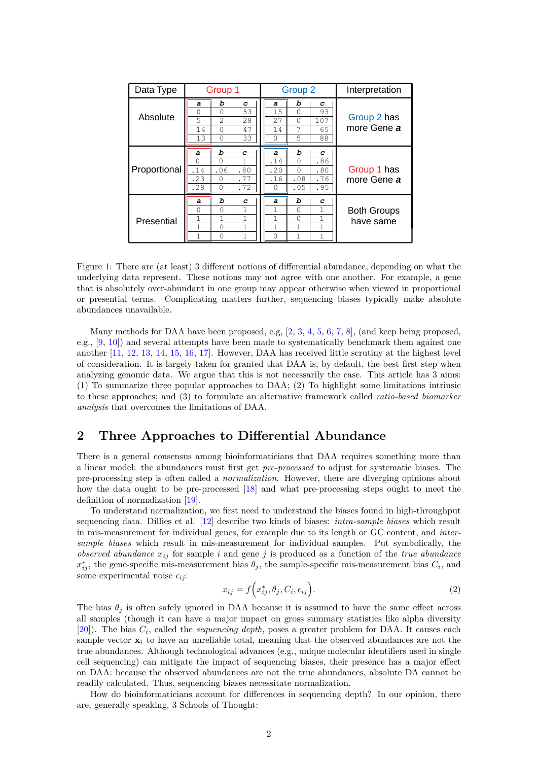| Data Type    | Group 1                                 |                                                            |                                                        | Group 2                                |                                         |                                  | Interpretation                  |  |
|--------------|-----------------------------------------|------------------------------------------------------------|--------------------------------------------------------|----------------------------------------|-----------------------------------------|----------------------------------|---------------------------------|--|
| Absolute     | a<br>0<br>5<br>14<br>13                 | b<br>$\mathbf 0$<br>$\overline{2}$<br>$\Omega$<br>$\Omega$ | с<br>53<br>28<br>47<br>33                              | a<br>15<br>27<br>14<br>$\Omega$        | ь<br>$\Omega$<br>$\Omega$<br>7<br>5     | с<br>93<br>107<br>65<br>88       | Group 2 has<br>more Gene a      |  |
| Proportional | a<br>$\circ$<br>.14<br>.23<br>.28       | ь<br>$\Omega$<br>.06<br>$\Omega$<br>0                      | C<br>1<br>.80<br>. 77<br>.72                           | a<br>.14<br>.20<br>.16<br>O            | ь<br>$\Omega$<br>$\Omega$<br>.08<br>.05 | C<br>.86<br>.80<br>.76<br>.95    | Group 1 has<br>more Gene a      |  |
| Presential   | a<br>$\Omega$<br>1<br>$\mathbf{1}$<br>1 | ь<br>$\Omega$<br>1<br>$\Omega$<br>$\Omega$                 | c<br>$\mathbf{1}$<br>$\mathbf{1}$<br>$\mathbf{1}$<br>1 | a<br>1<br>$\mathbf{1}$<br>$\mathbf{1}$ | b<br>$\Omega$<br>$\Omega$<br>1<br>1     | C<br>1<br>1<br>$\mathbf{1}$<br>1 | <b>Both Groups</b><br>have same |  |

<span id="page-1-0"></span>Figure 1: There are (at least) 3 different notions of differential abundance, depending on what the underlying data represent. These notions may not agree with one another. For example, a gene that is absolutely over-abundant in one group may appear otherwise when viewed in proportional or presential terms. Complicating matters further, sequencing biases typically make absolute abundances unavailable.

Many methods for DAA have been proposed, e.g,  $[2, 3, 4, 5, 6, 7, 8]$  $[2, 3, 4, 5, 6, 7, 8]$  $[2, 3, 4, 5, 6, 7, 8]$  $[2, 3, 4, 5, 6, 7, 8]$  $[2, 3, 4, 5, 6, 7, 8]$  $[2, 3, 4, 5, 6, 7, 8]$  $[2, 3, 4, 5, 6, 7, 8]$  $[2, 3, 4, 5, 6, 7, 8]$  $[2, 3, 4, 5, 6, 7, 8]$  $[2, 3, 4, 5, 6, 7, 8]$  $[2, 3, 4, 5, 6, 7, 8]$  $[2, 3, 4, 5, 6, 7, 8]$  $[2, 3, 4, 5, 6, 7, 8]$ , (and keep being proposed, e.g., [\[9,](#page-11-6) [10\]](#page-11-7)) and several attempts have been made to systematically benchmark them against one another [\[11,](#page-11-8) [12,](#page-11-9) [13,](#page-11-10) [14,](#page-11-11) [15,](#page-11-12) [16,](#page-11-13) [17\]](#page-11-14). However, DAA has received little scrutiny at the highest level of consideration. It is largely taken for granted that DAA is, by default, the best first step when analyzing genomic data. We argue that this is not necessarily the case. This article has 3 aims: (1) To summarize three popular approaches to DAA; (2) To highlight some limitations intrinsic to these approaches; and (3) to formulate an alternative framework called *ratio-based biomarker analysis* that overcomes the limitations of DAA.

## **2 Three Approaches to Differential Abundance**

There is a general consensus among bioinformaticians that DAA requires something more than a linear model: the abundances must first get *pre-processed* to adjust for systematic biases. The pre-processing step is often called a *normalization*. However, there are diverging opinions about how the data ought to be pre-processed [\[18\]](#page-12-0) and what pre-processing steps ought to meet the definition of normalization [\[19\]](#page-12-1).

To understand normalization, we first need to understand the biases found in high-throughput sequencing data. Dillies et al. [\[12\]](#page-11-9) describe two kinds of biases: *intra-sample biases* which result in mis-measurement for individual genes, for example due to its length or GC content, and *intersample biases* which result in mis-measurement for individual samples. Put symbolically, the *observed abundance*  $x_{ij}$  for sample *i* and gene *j* is produced as a function of the *true abundance*  $x_{ij}^*$ , the gene-specific mis-measurement bias  $\theta_j$ , the sample-specific mis-measurement bias  $C_i$ , and some experimental noise  $\epsilon_{ij}$ :

$$
x_{ij} = f\left(x_{ij}^*, \theta_j, C_i, \epsilon_{ij}\right). \tag{2}
$$

The bias  $\theta_i$  is often safely ignored in DAA because it is assumed to have the same effect across all samples (though it can have a major impact on gross summary statistics like alpha diversity [\[20\]](#page-12-2)). The bias *C<sup>i</sup>* , called the *sequencing depth*, poses a greater problem for DAA. It causes each sample vector  $\mathbf{x}_i$  to have an unreliable total, meaning that the observed abundances are not the true abundances. Although technological advances (e.g., unique molecular identifiers used in single cell sequencing) can mitigate the impact of sequencing biases, their presence has a major effect on DAA: because the observed abundances are not the true abundances, absolute DA cannot be readily calculated. Thus, sequencing biases necessitate normalization.

How do bioinformaticians account for differences in sequencing depth? In our opinion, there are, generally speaking, 3 Schools of Thought: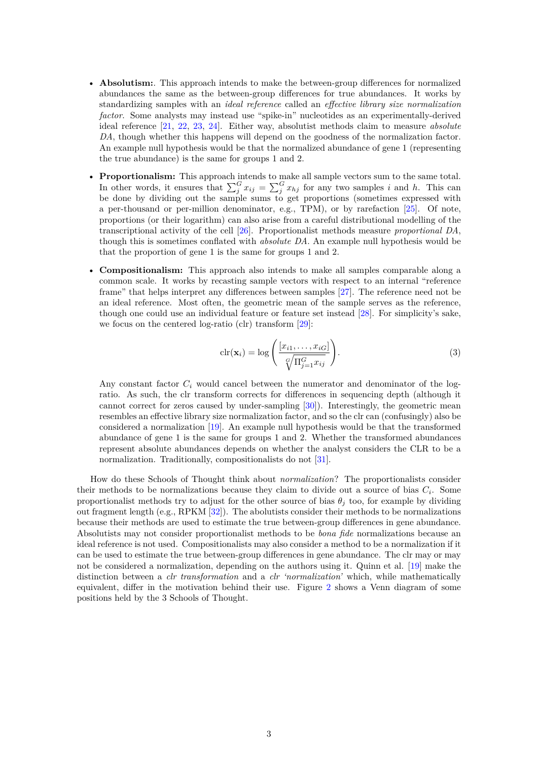- **Absolutism:**. This approach intends to make the between-group differences for normalized abundances the same as the between-group differences for true abundances. It works by standardizing samples with an *ideal reference* called an *effective library size normalization factor*. Some analysts may instead use "spike-in" nucleotides as an experimentally-derived ideal reference [\[21,](#page-12-3) [22,](#page-12-4) [23,](#page-12-5) [24\]](#page-12-6). Either way, absolutist methods claim to measure *absolute DA*, though whether this happens will depend on the goodness of the normalization factor. An example null hypothesis would be that the normalized abundance of gene 1 (representing the true abundance) is the same for groups 1 and 2.
- **Proportionalism:** This approach intends to make all sample vectors sum to the same total. In other words, it ensures that  $\sum_{j}^{G} x_{ij} = \sum_{j}^{G} x_{hj}$  for any two samples *i* and *h*. This can be done by dividing out the sample sums to get proportions (sometimes expressed with a per-thousand or per-million denominator, e.g., TPM), or by rarefaction [\[25\]](#page-12-7). Of note, proportions (or their logarithm) can also arise from a careful distributional modelling of the transcriptional activity of the cell [\[26\]](#page-12-8). Proportionalist methods measure *proportional DA*, though this is sometimes conflated with *absolute DA*. An example null hypothesis would be that the proportion of gene 1 is the same for groups 1 and 2.
- **Compositionalism:** This approach also intends to make all samples comparable along a common scale. It works by recasting sample vectors with respect to an internal "reference frame" that helps interpret any differences between samples [\[27\]](#page-12-9). The reference need not be an ideal reference. Most often, the geometric mean of the sample serves as the reference, though one could use an individual feature or feature set instead [\[28\]](#page-12-10). For simplicity's sake, we focus on the centered log-ratio (clr) transform [\[29\]](#page-12-11):

$$
\operatorname{clr}(\mathbf{x}_{i}) = \log \left( \frac{[x_{i1}, \dots, x_{iG}]}{\sqrt[G]{\Pi_{j=1}^{G} x_{ij}}} \right).
$$
\n(3)

Any constant factor  $C_i$  would cancel between the numerator and denominator of the logratio. As such, the clr transform corrects for differences in sequencing depth (although it cannot correct for zeros caused by under-sampling [\[30\]](#page-12-12)). Interestingly, the geometric mean resembles an effective library size normalization factor, and so the clr can (confusingly) also be considered a normalization [\[19\]](#page-12-1). An example null hypothesis would be that the transformed abundance of gene 1 is the same for groups 1 and 2. Whether the transformed abundances represent absolute abundances depends on whether the analyst considers the CLR to be a normalization. Traditionally, compositionalists do not [\[31\]](#page-12-13).

How do these Schools of Thought think about *normalization*? The proportionalists consider their methods to be normalizations because they claim to divide out a source of bias *C<sup>i</sup>* . Some proportionalist methods try to adjust for the other source of bias  $\theta_j$  too, for example by dividing out fragment length (e.g., RPKM [\[32\]](#page-12-14)). The abolutists consider their methods to be normalizations because their methods are used to estimate the true between-group differences in gene abundance. Absolutists may not consider proportionalist methods to be *bona fide* normalizations because an ideal reference is not used. Compositionalists may also consider a method to be a normalization if it can be used to estimate the true between-group differences in gene abundance. The clr may or may not be considered a normalization, depending on the authors using it. Quinn et al. [\[19\]](#page-12-1) make the distinction between a *clr transformation* and a *clr 'normalization'* which, while mathematically equivalent, differ in the motivation behind their use. Figure [2](#page-3-0) shows a Venn diagram of some positions held by the 3 Schools of Thought.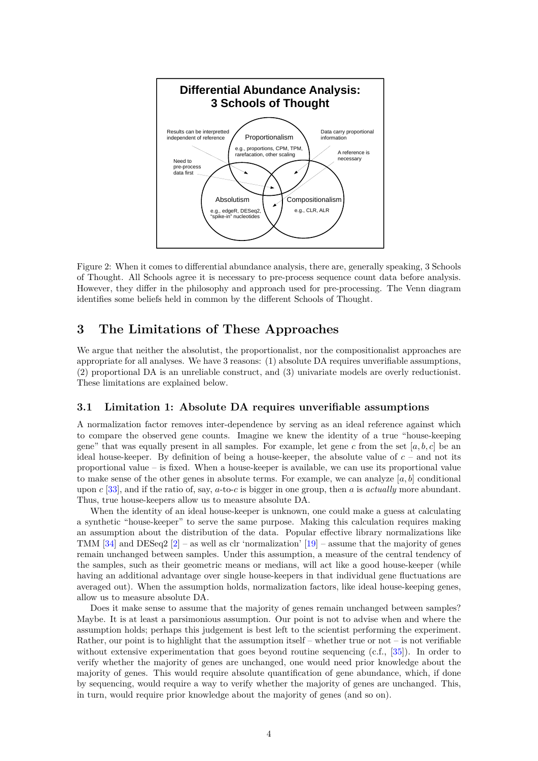

<span id="page-3-0"></span>Figure 2: When it comes to differential abundance analysis, there are, generally speaking, 3 Schools of Thought. All Schools agree it is necessary to pre-process sequence count data before analysis. However, they differ in the philosophy and approach used for pre-processing. The Venn diagram identifies some beliefs held in common by the different Schools of Thought.

# **3 The Limitations of These Approaches**

We argue that neither the absolutist, the proportionalist, nor the compositionalist approaches are appropriate for all analyses. We have 3 reasons: (1) absolute DA requires unverifiable assumptions, (2) proportional DA is an unreliable construct, and (3) univariate models are overly reductionist. These limitations are explained below.

### **3.1 Limitation 1: Absolute DA requires unverifiable assumptions**

A normalization factor removes inter-dependence by serving as an ideal reference against which to compare the observed gene counts. Imagine we knew the identity of a true "house-keeping gene" that was equally present in all samples. For example, let gene  $c$  from the set  $[a, b, c]$  be an ideal house-keeper. By definition of being a house-keeper, the absolute value of  $c$  – and not its proportional value – is fixed. When a house-keeper is available, we can use its proportional value to make sense of the other genes in absolute terms. For example, we can analyze  $[a, b]$  conditional upon *c* [\[33\]](#page-12-15), and if the ratio of, say, *a*-to-*c* is bigger in one group, then *a* is *actually* more abundant. Thus, true house-keepers allow us to measure absolute DA.

When the identity of an ideal house-keeper is unknown, one could make a guess at calculating a synthetic "house-keeper" to serve the same purpose. Making this calculation requires making an assumption about the distribution of the data. Popular effective library normalizations like TMM  $[34]$  and DESeq2  $[2]$  – as well as clr 'normalization'  $[19]$  – assume that the majority of genes remain unchanged between samples. Under this assumption, a measure of the central tendency of the samples, such as their geometric means or medians, will act like a good house-keeper (while having an additional advantage over single house-keepers in that individual gene fluctuations are averaged out). When the assumption holds, normalization factors, like ideal house-keeping genes, allow us to measure absolute DA.

Does it make sense to assume that the majority of genes remain unchanged between samples? Maybe. It is at least a parsimonious assumption. Our point is not to advise when and where the assumption holds; perhaps this judgement is best left to the scientist performing the experiment. Rather, our point is to highlight that the assumption itself – whether true or not – is not verifiable without extensive experimentation that goes beyond routine sequencing (c.f., [\[35\]](#page-13-0)). In order to verify whether the majority of genes are unchanged, one would need prior knowledge about the majority of genes. This would require absolute quantification of gene abundance, which, if done by sequencing, would require a way to verify whether the majority of genes are unchanged. This, in turn, would require prior knowledge about the majority of genes (and so on).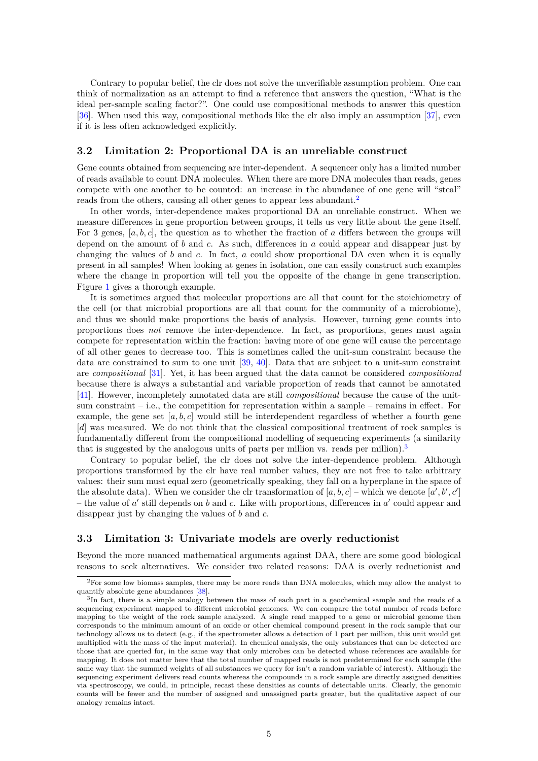Contrary to popular belief, the clr does not solve the unverifiable assumption problem. One can think of normalization as an attempt to find a reference that answers the question, "What is the ideal per-sample scaling factor?". One could use compositional methods to answer this question [\[36\]](#page-13-1). When used this way, compositional methods like the clr also imply an assumption [\[37\]](#page-13-2), even if it is less often acknowledged explicitly.

#### **3.2 Limitation 2: Proportional DA is an unreliable construct**

Gene counts obtained from sequencing are inter-dependent. A sequencer only has a limited number of reads available to count DNA molecules. When there are more DNA molecules than reads, genes compete with one another to be counted: an increase in the abundance of one gene will "steal" reads from the others, causing all other genes to appear less abundant.<sup>[2](#page-4-0)</sup>

In other words, inter-dependence makes proportional DA an unreliable construct. When we measure differences in gene proportion between groups, it tells us very little about the gene itself. For 3 genes,  $[a, b, c]$ , the question as to whether the fraction of a differs between the groups will depend on the amount of *b* and *c*. As such, differences in *a* could appear and disappear just by changing the values of *b* and *c*. In fact, *a* could show proportional DA even when it is equally present in all samples! When looking at genes in isolation, one can easily construct such examples where the change in proportion will tell you the opposite of the change in gene transcription. Figure [1](#page-1-0) gives a thorough example.

It is sometimes argued that molecular proportions are all that count for the stoichiometry of the cell (or that microbial proportions are all that count for the community of a microbiome), and thus we should make proportions the basis of analysis. However, turning gene counts into proportions does *not* remove the inter-dependence. In fact, as proportions, genes must again compete for representation within the fraction: having more of one gene will cause the percentage of all other genes to decrease too. This is sometimes called the unit-sum constraint because the data are constrained to sum to one unit [\[39,](#page-13-3) [40\]](#page-13-4). Data that are subject to a unit-sum constraint are *compositional* [\[31\]](#page-12-13). Yet, it has been argued that the data cannot be considered *compositional* because there is always a substantial and variable proportion of reads that cannot be annotated [\[41\]](#page-13-5). However, incompletely annotated data are still *compositional* because the cause of the unitsum constraint – i.e., the competition for representation within a sample – remains in effect. For example, the gene set  $[a, b, c]$  would still be interdependent regardless of whether a fourth gene [*d*] was measured. We do not think that the classical compositional treatment of rock samples is fundamentally different from the compositional modelling of sequencing experiments (a similarity that is suggested by the analogous units of parts per million vs. reads per million).<sup>[3](#page-4-1)</sup>

Contrary to popular belief, the clr does not solve the inter-dependence problem. Although proportions transformed by the clr have real number values, they are not free to take arbitrary values: their sum must equal zero (geometrically speaking, they fall on a hyperplane in the space of the absolute data). When we consider the clr transformation of  $[a, b, c]$  – which we denote  $[a', b', c']$ – the value of  $a'$  still depends on  $b$  and  $c$ . Like with proportions, differences in  $a'$  could appear and disappear just by changing the values of *b* and *c*.

#### **3.3 Limitation 3: Univariate models are overly reductionist**

Beyond the more nuanced mathematical arguments against DAA, there are some good biological reasons to seek alternatives. We consider two related reasons: DAA is overly reductionist and

<span id="page-4-0"></span><sup>&</sup>lt;sup>2</sup>For some low biomass samples, there may be more reads than DNA molecules, which may allow the analyst to quantify absolute gene abundances [\[38\]](#page-13-6).

<span id="page-4-1"></span><sup>&</sup>lt;sup>3</sup>In fact, there is a simple analogy between the mass of each part in a geochemical sample and the reads of a sequencing experiment mapped to different microbial genomes. We can compare the total number of reads before mapping to the weight of the rock sample analyzed. A single read mapped to a gene or microbial genome then corresponds to the minimum amount of an oxide or other chemical compound present in the rock sample that our technology allows us to detect (e.g., if the spectrometer allows a detection of 1 part per million, this unit would get multiplied with the mass of the input material). In chemical analysis, the only substances that can be detected are those that are queried for, in the same way that only microbes can be detected whose references are available for mapping. It does not matter here that the total number of mapped reads is not predetermined for each sample (the same way that the summed weights of all substances we query for isn't a random variable of interest). Although the sequencing experiment delivers read counts whereas the compounds in a rock sample are directly assigned densities via spectroscopy, we could, in principle, recast these densities as counts of detectable units. Clearly, the genomic counts will be fewer and the number of assigned and unassigned parts greater, but the qualitative aspect of our analogy remains intact.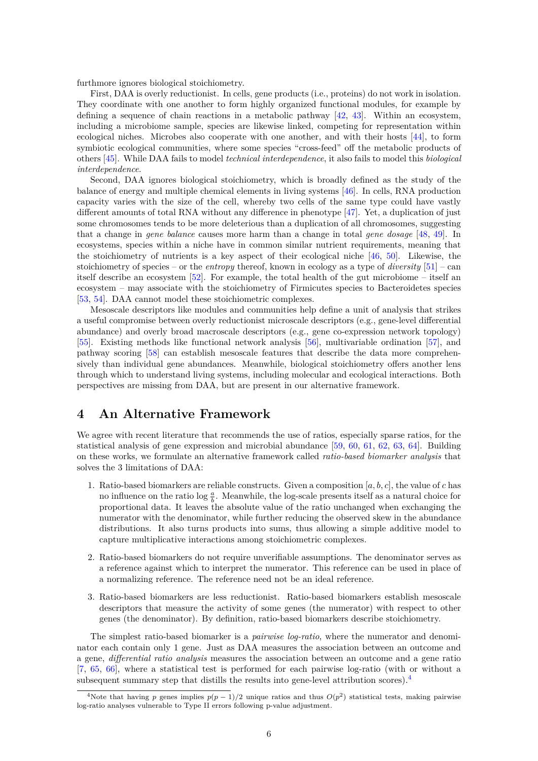furthmore ignores biological stoichiometry.

First, DAA is overly reductionist. In cells, gene products (i.e., proteins) do not work in isolation. They coordinate with one another to form highly organized functional modules, for example by defining a sequence of chain reactions in a metabolic pathway [\[42,](#page-13-7) [43\]](#page-13-8). Within an ecosystem, including a microbiome sample, species are likewise linked, competing for representation within ecological niches. Microbes also cooperate with one another, and with their hosts [\[44\]](#page-13-9), to form symbiotic ecological communities, where some species "cross-feed" off the metabolic products of others [\[45\]](#page-13-10). While DAA fails to model *technical interdependence*, it also fails to model this *biological interdependence*.

Second, DAA ignores biological stoichiometry, which is broadly defined as the study of the balance of energy and multiple chemical elements in living systems [\[46\]](#page-13-11). In cells, RNA production capacity varies with the size of the cell, whereby two cells of the same type could have vastly different amounts of total RNA without any difference in phenotype [\[47\]](#page-13-12). Yet, a duplication of just some chromosomes tends to be more deleterious than a duplication of all chromosomes, suggesting that a change in *gene balance* causes more harm than a change in total *gene dosage* [\[48,](#page-13-13) [49\]](#page-13-14). In ecosystems, species within a niche have in common similar nutrient requirements, meaning that the stoichiometry of nutrients is a key aspect of their ecological niche [\[46,](#page-13-11) [50\]](#page-13-15). Likewise, the stoichiometry of species – or the *entropy* thereof, known in ecology as a type of *diversity* [\[51\]](#page-13-16) – can itself describe an ecosystem [\[52\]](#page-14-0). For example, the total health of the gut microbiome – itself an ecosystem – may associate with the stoichiometry of Firmicutes species to Bacteroidetes species [\[53,](#page-14-1) [54\]](#page-14-2). DAA cannot model these stoichiometric complexes.

Mesoscale descriptors like modules and communities help define a unit of analysis that strikes a useful compromise between overly reductionist microscale descriptors (e.g., gene-level differential abundance) and overly broad macroscale descriptors (e.g., gene co-expression network topology) [\[55\]](#page-15-0). Existing methods like functional network analysis [\[56\]](#page-15-1), multivariable ordination [\[57\]](#page-15-2), and pathway scoring [\[58\]](#page-15-3) can establish mesoscale features that describe the data more comprehensively than individual gene abundances. Meanwhile, biological stoichiometry offers another lens through which to understand living systems, including molecular and ecological interactions. Both perspectives are missing from DAA, but are present in our alternative framework.

## **4 An Alternative Framework**

We agree with recent literature that recommends the use of ratios, especially sparse ratios, for the statistical analysis of gene expression and microbial abundance [\[59,](#page-15-4) [60,](#page-15-5) [61,](#page-15-6) [62,](#page-15-7) [63,](#page-15-8) [64\]](#page-15-9). Building on these works, we formulate an alternative framework called *ratio-based biomarker analysis* that solves the 3 limitations of DAA:

- 1. Ratio-based biomarkers are reliable constructs. Given a composition [*a, b, c*], the value of *c* has no influence on the ratio  $\log \frac{a}{b}$ . Meanwhile, the log-scale presents itself as a natural choice for proportional data. It leaves the absolute value of the ratio unchanged when exchanging the numerator with the denominator, while further reducing the observed skew in the abundance distributions. It also turns products into sums, thus allowing a simple additive model to capture multiplicative interactions among stoichiometric complexes.
- 2. Ratio-based biomarkers do not require unverifiable assumptions. The denominator serves as a reference against which to interpret the numerator. This reference can be used in place of a normalizing reference. The reference need not be an ideal reference.
- 3. Ratio-based biomarkers are less reductionist. Ratio-based biomarkers establish mesoscale descriptors that measure the activity of some genes (the numerator) with respect to other genes (the denominator). By definition, ratio-based biomarkers describe stoichiometry.

The simplest ratio-based biomarker is a *pairwise log-ratio*, where the numerator and denominator each contain only 1 gene. Just as DAA measures the association between an outcome and a gene, *differential ratio analysis* measures the association between an outcome and a gene ratio [\[7,](#page-11-4) [65,](#page-15-10) [66\]](#page-15-11), where a statistical test is performed for each pairwise log-ratio (with or without a subsequent summary step that distills the results into gene-level attribution scores). $4$ 

<span id="page-5-0"></span><sup>&</sup>lt;sup>4</sup>Note that having *p* genes implies  $p(p-1)/2$  unique ratios and thus  $O(p^2)$  statistical tests, making pairwise log-ratio analyses vulnerable to Type II errors following p-value adjustment.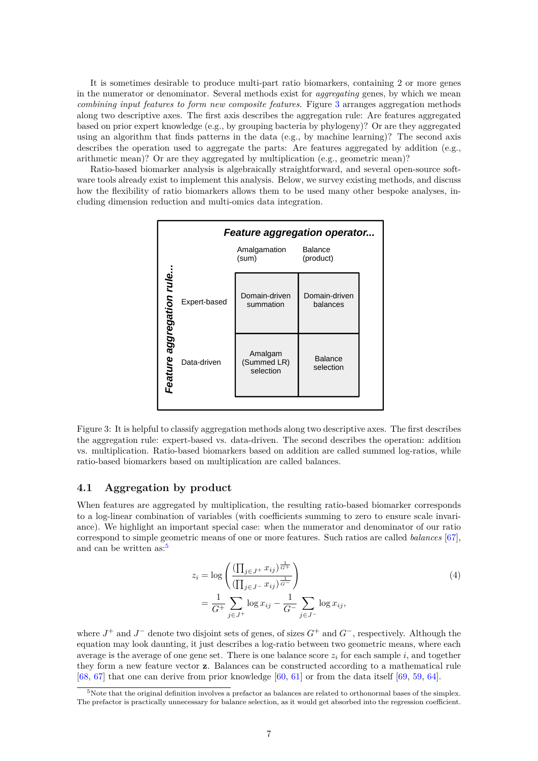It is sometimes desirable to produce multi-part ratio biomarkers, containing 2 or more genes in the numerator or denominator. Several methods exist for *aggregating* genes, by which we mean *combining input features to form new composite features*. Figure [3](#page-6-0) arranges aggregation methods along two descriptive axes. The first axis describes the aggregation rule: Are features aggregated based on prior expert knowledge (e.g., by grouping bacteria by phylogeny)? Or are they aggregated using an algorithm that finds patterns in the data (e.g., by machine learning)? The second axis describes the operation used to aggregate the parts: Are features aggregated by addition (e.g., arithmetic mean)? Or are they aggregated by multiplication (e.g., geometric mean)?

Ratio-based biomarker analysis is algebraically straightforward, and several open-source software tools already exist to implement this analysis. Below, we survey existing methods, and discuss how the flexibility of ratio biomarkers allows them to be used many other bespoke analyses, including dimension reduction and multi-omics data integration.



<span id="page-6-0"></span>Figure 3: It is helpful to classify aggregation methods along two descriptive axes. The first describes the aggregation rule: expert-based vs. data-driven. The second describes the operation: addition vs. multiplication. Ratio-based biomarkers based on addition are called summed log-ratios, while ratio-based biomarkers based on multiplication are called balances.

### **4.1 Aggregation by product**

When features are aggregated by multiplication, the resulting ratio-based biomarker corresponds to a log-linear combination of variables (with coefficients summing to zero to ensure scale invariance). We highlight an important special case: when the numerator and denominator of our ratio correspond to simple geometric means of one or more features. Such ratios are called *balances* [\[67\]](#page-15-12), and can be written as:<sup>[5](#page-6-1)</sup>

<span id="page-6-2"></span>
$$
z_i = \log \left( \frac{\left( \prod_{j \in J^+} x_{ij} \right)^{\frac{1}{G^+}}}{\left( \prod_{j \in J^-} x_{ij} \right)^{\frac{1}{G^-}}} \right)
$$
  
=  $\frac{1}{G^+} \sum_{j \in J^+} \log x_{ij} - \frac{1}{G^-} \sum_{j \in J^-} \log x_{ij},$  (4)

where *J* <sup>+</sup> and *J* <sup>−</sup> denote two disjoint sets of genes, of sizes *G*<sup>+</sup> and *G*<sup>−</sup>, respectively. Although the equation may look daunting, it just describes a log-ratio between two geometric means, where each average is the average of one gene set. There is one balance score  $z_i$  for each sample  $i$ , and together they form a new feature vector **z**. Balances can be constructed according to a mathematical rule [\[68,](#page-15-13) [67\]](#page-15-12) that one can derive from prior knowledge [\[60,](#page-15-5) [61\]](#page-15-6) or from the data itself [\[69,](#page-15-14) [59,](#page-15-4) [64\]](#page-15-9).

<span id="page-6-1"></span><sup>5</sup>Note that the original definition involves a prefactor as balances are related to orthonormal bases of the simplex. The prefactor is practically unnecessary for balance selection, as it would get absorbed into the regression coefficient.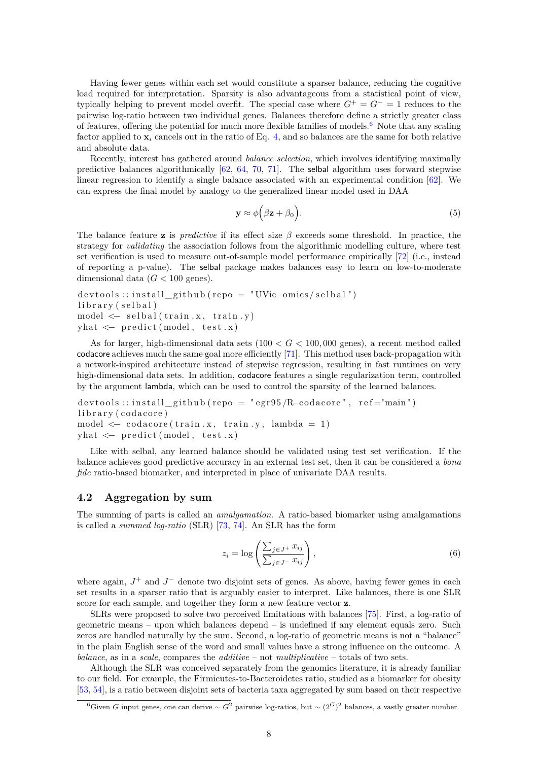Having fewer genes within each set would constitute a sparser balance, reducing the cognitive load required for interpretation. Sparsity is also advantageous from a statistical point of view, typically helping to prevent model overfit. The special case where  $G^+ = G^- = 1$  reduces to the pairwise log-ratio between two individual genes. Balances therefore define a strictly greater class of features, offering the potential for much more flexible families of models.[6](#page-7-0) Note that any scaling factor applied to  $\mathbf{x}_i$  cancels out in the ratio of Eq. [4,](#page-6-2) and so balances are the same for both relative and absolute data.

Recently, interest has gathered around *balance selection*, which involves identifying maximally predictive balances algorithmically [\[62,](#page-15-7) [64,](#page-15-9) [70,](#page-15-15) [71\]](#page-15-16). The selbal algorithm uses forward stepwise linear regression to identify a single balance associated with an experimental condition [\[62\]](#page-15-7). We can express the final model by analogy to the generalized linear model used in DAA

$$
\mathbf{y} \approx \phi\Big(\beta \mathbf{z} + \beta_0\Big). \tag{5}
$$

The balance feature **z** is *predictive* if its effect size *β* exceeds some threshold. In practice, the strategy for *validating* the association follows from the algorithmic modelling culture, where test set verification is used to measure out-of-sample model performance empirically [\[72\]](#page-16-0) (i.e., instead of reporting a p-value). The selbal package makes balances easy to learn on low-to-moderate dimensional data  $(G < 100$  genes).

```
devtools :: install github (repo = "UVic-omics / selbal ")
\frac{1}{\text{ibrary}} (selbal)
model \leq selfball(train.x, train.y)yhat \leftarrow \text{predict}(\text{model}, \text{test}.x)
```
As for larger, high-dimensional data sets (100 *< G <* 100*,* 000 genes), a recent method called codacore achieves much the same goal more efficiently [\[71\]](#page-15-16). This method uses back-propagation with a network-inspired architecture instead of stepwise regression, resulting in fast runtimes on very high-dimensional data sets. In addition, codacore features a single regularization term, controlled by the argument lambda, which can be used to control the sparsity of the learned balances.

```
devtools::install github (repo = "egr95 /R-codacore", ref="main")
\text{library} (codacore)model \leq codacore (train .x, train .y, lambda = 1)
yhat \leftarrow predict (model, test.x)
```
Like with selbal, any learned balance should be validated using test set verification. If the balance achieves good predictive accuracy in an external test set, then it can be considered a *bona fide* ratio-based biomarker, and interpreted in place of univariate DAA results.

#### **4.2 Aggregation by sum**

The summing of parts is called an *amalgamation*. A ratio-based biomarker using amalgamations is called a *summed log-ratio* (SLR) [\[73,](#page-16-1) [74\]](#page-16-2). An SLR has the form

$$
z_i = \log\left(\frac{\sum_{j \in J^+} x_{ij}}{\sum_{j \in J^-} x_{ij}}\right),\tag{6}
$$

where again,  $J^+$  and  $J^-$  denote two disjoint sets of genes. As above, having fewer genes in each set results in a sparser ratio that is arguably easier to interpret. Like balances, there is one SLR score for each sample, and together they form a new feature vector **z**.

SLRs were proposed to solve two perceived limitations with balances [\[75\]](#page-16-3). First, a log-ratio of geometric means – upon which balances depend – is undefined if any element equals zero. Such zeros are handled naturally by the sum. Second, a log-ratio of geometric means is not a "balance" in the plain English sense of the word and small values have a strong influence on the outcome. A *balance*, as in a *scale*, compares the *additive* – not *multiplicative* – totals of two sets.

Although the SLR was conceived separately from the genomics literature, it is already familiar to our field. For example, the Firmicutes-to-Bacteroidetes ratio, studied as a biomarker for obesity [\[53,](#page-14-1) [54\]](#page-14-2), is a ratio between disjoint sets of bacteria taxa aggregated by sum based on their respective

<span id="page-7-0"></span><sup>6</sup>Given *G* input genes, one can derive ∼ *G*<sup>2</sup> pairwise log-ratios, but ∼ (2*G*) <sup>2</sup> balances, a vastly greater number.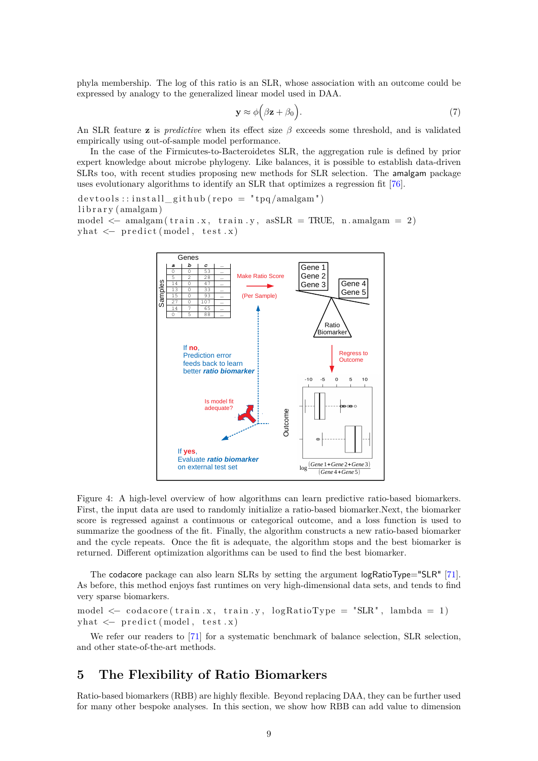phyla membership. The log of this ratio is an SLR, whose association with an outcome could be expressed by analogy to the generalized linear model used in DAA.

$$
\mathbf{y} \approx \phi\Big(\beta \mathbf{z} + \beta_0\Big). \tag{7}
$$

An SLR feature **z** is *predictive* when its effect size *β* exceeds some threshold, and is validated empirically using out-of-sample model performance.

In the case of the Firmicutes-to-Bacteroidetes SLR, the aggregation rule is defined by prior expert knowledge about microbe phylogeny. Like balances, it is possible to establish data-driven SLRs too, with recent studies proposing new methods for SLR selection. The amalgam package uses evolutionary algorithms to identify an SLR that optimizes a regression fit [\[76\]](#page-16-4).

 $devtools::install\_github (repo = "tpq/amalgam")$  $\text{library (amalgam)}$ model  $\leq$  amalgam (train x, train y, as SLR = TRUE, n. amalgam = 2)  $yhat \leftarrow \text{predict}(\text{model}, \text{test}.x)$ 



Figure 4: A high-level overview of how algorithms can learn predictive ratio-based biomarkers. First, the input data are used to randomly initialize a ratio-based biomarker.Next, the biomarker score is regressed against a continuous or categorical outcome, and a loss function is used to summarize the goodness of the fit. Finally, the algorithm constructs a new ratio-based biomarker and the cycle repeats. Once the fit is adequate, the algorithm stops and the best biomarker is returned. Different optimization algorithms can be used to find the best biomarker.

The codacore package can also learn SLRs by setting the argument logRatioType="SLR" [\[71\]](#page-15-16). As before, this method enjoys fast runtimes on very high-dimensional data sets, and tends to find very sparse biomarkers.

model  $\leftarrow$  codacore (train .x, train .y, logRatioType = "SLR", lambda = 1)  $yhat \leftarrow \text{predict}(\text{model}, \text{test.x})$ 

We refer our readers to [\[71\]](#page-15-16) for a systematic benchmark of balance selection, SLR selection, and other state-of-the-art methods.

## **5 The Flexibility of Ratio Biomarkers**

Ratio-based biomarkers (RBB) are highly flexible. Beyond replacing DAA, they can be further used for many other bespoke analyses. In this section, we show how RBB can add value to dimension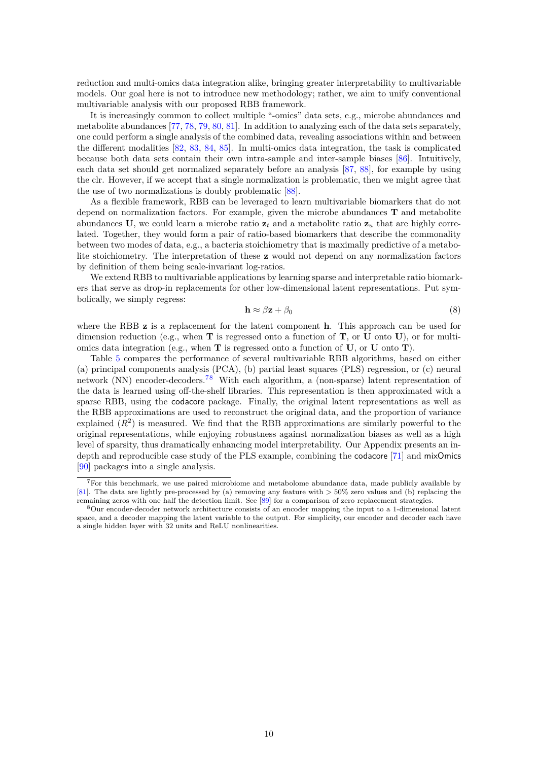reduction and multi-omics data integration alike, bringing greater interpretability to multivariable models. Our goal here is not to introduce new methodology; rather, we aim to unify conventional multivariable analysis with our proposed RBB framework.

It is increasingly common to collect multiple "-omics" data sets, e.g., microbe abundances and metabolite abundances [\[77,](#page-16-5) [78,](#page-16-6) [79,](#page-16-7) [80,](#page-16-8) [81\]](#page-16-9). In addition to analyzing each of the data sets separately, one could perform a single analysis of the combined data, revealing associations within and between the different modalities [\[82,](#page-16-10) [83,](#page-17-0) [84,](#page-17-1) [85\]](#page-17-2). In multi-omics data integration, the task is complicated because both data sets contain their own intra-sample and inter-sample biases [\[86\]](#page-17-3). Intuitively, each data set should get normalized separately before an analysis [\[87,](#page-17-4) [88\]](#page-17-5), for example by using the clr. However, if we accept that a single normalization is problematic, then we might agree that the use of two normalizations is doubly problematic [\[88\]](#page-17-5).

As a flexible framework, RBB can be leveraged to learn multivariable biomarkers that do not depend on normalization factors. For example, given the microbe abundances **T** and metabolite abundances **U**, we could learn a microbe ratio  $z_t$  and a metabolite ratio  $z_u$  that are highly correlated. Together, they would form a pair of ratio-based biomarkers that describe the commonality between two modes of data, e.g., a bacteria stoichiometry that is maximally predictive of a metabolite stoichiometry. The interpretation of these **z** would not depend on any normalization factors by definition of them being scale-invariant log-ratios.

We extend RBB to multivariable applications by learning sparse and interpretable ratio biomarkers that serve as drop-in replacements for other low-dimensional latent representations. Put symbolically, we simply regress:

<span id="page-9-0"></span>
$$
\mathbf{h} \approx \beta \mathbf{z} + \beta_0 \tag{8}
$$

where the RBB **z** is a replacement for the latent component **h**. This approach can be used for dimension reduction (e.g., when **T** is regressed onto a function of **T**, or **U** onto **U**), or for multiomics data integration (e.g., when **T** is regressed onto a function of **U**, or **U** onto **T**).

Table [5](#page-9-0) compares the performance of several multivariable RBB algorithms, based on either (a) principal components analysis (PCA), (b) partial least squares (PLS) regression, or (c) neural network (NN) encoder-decoders.[7](#page-9-1)[8](#page-9-2) With each algorithm, a (non-sparse) latent representation of the data is learned using off-the-shelf libraries. This representation is then approximated with a sparse RBB, using the codacore package. Finally, the original latent representations as well as the RBB approximations are used to reconstruct the original data, and the proportion of variance explained  $(R^2)$  is measured. We find that the RBB approximations are similarly powerful to the original representations, while enjoying robustness against normalization biases as well as a high level of sparsity, thus dramatically enhancing model interpretability. Our Appendix presents an indepth and reproducible case study of the PLS example, combining the codacore [\[71\]](#page-15-16) and mixOmics [\[90\]](#page-17-6) packages into a single analysis.

<span id="page-9-1"></span><sup>7</sup>For this benchmark, we use paired microbiome and metabolome abundance data, made publicly available by [\[81\]](#page-16-9). The data are lightly pre-processed by (a) removing any feature with *>* 50% zero values and (b) replacing the remaining zeros with one half the detection limit. See [\[89\]](#page-17-7) for a comparison of zero replacement strategies.

<span id="page-9-2"></span><sup>8</sup>Our encoder-decoder network architecture consists of an encoder mapping the input to a 1-dimensional latent space, and a decoder mapping the latent variable to the output. For simplicity, our encoder and decoder each have a single hidden layer with 32 units and ReLU nonlinearities.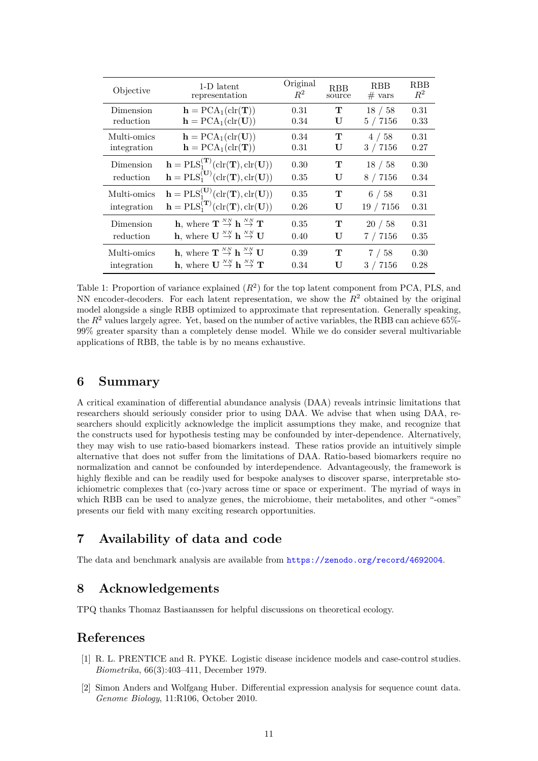| Objective   | 1-D latent                                                                                                | Original | <b>RBB</b> | <b>RBB</b> | <b>RBB</b> |
|-------------|-----------------------------------------------------------------------------------------------------------|----------|------------|------------|------------|
|             | representation                                                                                            | $R^2$    | source     | $#$ vars   | $R^2$      |
| Dimension   | $\mathbf{h} = \text{PCA}_1(\text{clr}(\mathbf{T}))$                                                       | 0.31     | т          | 18 / 58    | 0.31       |
| reduction   | $\mathbf{h} = \text{PCA}_1(\text{clr}(\mathbf{U}))$                                                       | 0.34     | U          | 5 / 7156   | 0.33       |
| Multi-omics | $\mathbf{h} = \text{PCA}_1(\text{clr}(\mathbf{U}))$                                                       | 0.34     | т          | 4/58       | 0.31       |
| integration | $\mathbf{h} = \text{PCA}_1(\text{clr}(\mathbf{T}))$                                                       | 0.31     | U          | 3 / 7156   | 0.27       |
| Dimension   | $\mathbf{h} = \text{PLS}_1^{(\mathbf{T})}(\text{clr}(\mathbf{T}), \text{clr}(\mathbf{U}))$                | 0.30     | т          | 18 / 58    | 0.30       |
| reduction   | $\mathbf{h} = \text{PLS}_1^{(\mathbf{U})}(\text{clr}(\mathbf{T}), \text{clr}(\mathbf{U}))$                | 0.35     | U          | 8 / 7156   | 0.34       |
| Multi-omics | $\mathbf{h} = \text{PLS}_1^{(\mathbf{U})}(\text{clr}(\mathbf{T}), \text{clr}(\mathbf{U}))$                | 0.35     | т          | 6/58       | 0.31       |
| integration | $\mathbf{h} = \text{PLS}_1^{(\mathbf{T})}(\text{clr}(\mathbf{T}), \text{clr}(\mathbf{U}))$                | 0.26     | U          | 19 / 7156  | 0.31       |
| Dimension   | <b>h</b> , where $\mathbf{T} \overset{NN}{\rightarrow} \mathbf{h} \overset{NN}{\rightarrow} \mathbf{T}$   | 0.35     | т          | 20/58      | 0.31       |
| reduction   | <b>h</b> , where $\mathbf{U} \stackrel{NN}{\rightarrow} \mathbf{h} \stackrel{NN}{\rightarrow} \mathbf{U}$ | 0.40     | U          | 7/7156     | 0.35       |
| Multi-omics | <b>h</b> , where $\mathbf{T} \overset{NN}{\rightarrow} \mathbf{h} \overset{NN}{\rightarrow} \mathbf{U}$   | 0.39     | т          | 7/58       | 0.30       |
| integration | <b>h</b> , where $\mathbf{U} \stackrel{NN}{\rightarrow} \mathbf{h} \stackrel{NN}{\rightarrow} \mathbf{T}$ | 0.34     | U          | 3 / 7156   | 0.28       |

Table 1: Proportion of variance explained  $(R^2)$  for the top latent component from PCA, PLS, and NN encoder-decoders. For each latent representation, we show the  $R<sup>2</sup>$  obtained by the original model alongside a single RBB optimized to approximate that representation. Generally speaking, the  $R^2$  values largely agree. Yet, based on the number of active variables, the RBB can achieve 65%-99% greater sparsity than a completely dense model. While we do consider several multivariable applications of RBB, the table is by no means exhaustive.

## **6 Summary**

A critical examination of differential abundance analysis (DAA) reveals intrinsic limitations that researchers should seriously consider prior to using DAA. We advise that when using DAA, researchers should explicitly acknowledge the implicit assumptions they make, and recognize that the constructs used for hypothesis testing may be confounded by inter-dependence. Alternatively, they may wish to use ratio-based biomarkers instead. These ratios provide an intuitively simple alternative that does not suffer from the limitations of DAA. Ratio-based biomarkers require no normalization and cannot be confounded by interdependence. Advantageously, the framework is highly flexible and can be readily used for bespoke analyses to discover sparse, interpretable stoichiometric complexes that (co-)vary across time or space or experiment. The myriad of ways in which RBB can be used to analyze genes, the microbiome, their metabolites, and other "-omes" presents our field with many exciting research opportunities.

# **7 Availability of data and code**

The data and benchmark analysis are available from <https://zenodo.org/record/4692004>.

# **8 Acknowledgements**

TPQ thanks Thomaz Bastiaanssen for helpful discussions on theoretical ecology.

## **References**

- <span id="page-10-0"></span>[1] R. L. PRENTICE and R. PYKE. Logistic disease incidence models and case-control studies. *Biometrika*, 66(3):403–411, December 1979.
- <span id="page-10-1"></span>[2] Simon Anders and Wolfgang Huber. Differential expression analysis for sequence count data. *Genome Biology*, 11:R106, October 2010.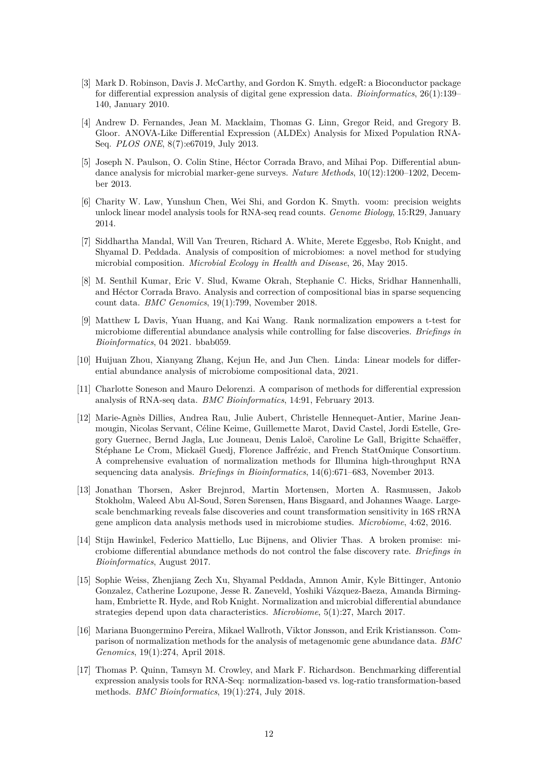- <span id="page-11-0"></span>[3] Mark D. Robinson, Davis J. McCarthy, and Gordon K. Smyth. edgeR: a Bioconductor package for differential expression analysis of digital gene expression data. *Bioinformatics*, 26(1):139– 140, January 2010.
- <span id="page-11-1"></span>[4] Andrew D. Fernandes, Jean M. Macklaim, Thomas G. Linn, Gregor Reid, and Gregory B. Gloor. ANOVA-Like Differential Expression (ALDEx) Analysis for Mixed Population RNA-Seq. *PLOS ONE*, 8(7):e67019, July 2013.
- <span id="page-11-2"></span>[5] Joseph N. Paulson, O. Colin Stine, Héctor Corrada Bravo, and Mihai Pop. Differential abundance analysis for microbial marker-gene surveys. *Nature Methods*, 10(12):1200–1202, December 2013.
- <span id="page-11-3"></span>[6] Charity W. Law, Yunshun Chen, Wei Shi, and Gordon K. Smyth. voom: precision weights unlock linear model analysis tools for RNA-seq read counts. *Genome Biology*, 15:R29, January 2014.
- <span id="page-11-4"></span>[7] Siddhartha Mandal, Will Van Treuren, Richard A. White, Merete Eggesbø, Rob Knight, and Shyamal D. Peddada. Analysis of composition of microbiomes: a novel method for studying microbial composition. *Microbial Ecology in Health and Disease*, 26, May 2015.
- <span id="page-11-5"></span>[8] M. Senthil Kumar, Eric V. Slud, Kwame Okrah, Stephanie C. Hicks, Sridhar Hannenhalli, and Héctor Corrada Bravo. Analysis and correction of compositional bias in sparse sequencing count data. *BMC Genomics*, 19(1):799, November 2018.
- <span id="page-11-6"></span>[9] Matthew L Davis, Yuan Huang, and Kai Wang. Rank normalization empowers a t-test for microbiome differential abundance analysis while controlling for false discoveries. *Briefings in Bioinformatics*, 04 2021. bbab059.
- <span id="page-11-7"></span>[10] Huijuan Zhou, Xianyang Zhang, Kejun He, and Jun Chen. Linda: Linear models for differential abundance analysis of microbiome compositional data, 2021.
- <span id="page-11-8"></span>[11] Charlotte Soneson and Mauro Delorenzi. A comparison of methods for differential expression analysis of RNA-seq data. *BMC Bioinformatics*, 14:91, February 2013.
- <span id="page-11-9"></span>[12] Marie-Agnès Dillies, Andrea Rau, Julie Aubert, Christelle Hennequet-Antier, Marine Jeanmougin, Nicolas Servant, Céline Keime, Guillemette Marot, David Castel, Jordi Estelle, Gregory Guernec, Bernd Jagla, Luc Jouneau, Denis Laloë, Caroline Le Gall, Brigitte Schaëffer, Stéphane Le Crom, Mickaël Guedj, Florence Jaffrézic, and French StatOmique Consortium. A comprehensive evaluation of normalization methods for Illumina high-throughput RNA sequencing data analysis. *Briefings in Bioinformatics*, 14(6):671–683, November 2013.
- <span id="page-11-10"></span>[13] Jonathan Thorsen, Asker Brejnrod, Martin Mortensen, Morten A. Rasmussen, Jakob Stokholm, Waleed Abu Al-Soud, Søren Sørensen, Hans Bisgaard, and Johannes Waage. Largescale benchmarking reveals false discoveries and count transformation sensitivity in 16S rRNA gene amplicon data analysis methods used in microbiome studies. *Microbiome*, 4:62, 2016.
- <span id="page-11-11"></span>[14] Stijn Hawinkel, Federico Mattiello, Luc Bijnens, and Olivier Thas. A broken promise: microbiome differential abundance methods do not control the false discovery rate. *Briefings in Bioinformatics*, August 2017.
- <span id="page-11-12"></span>[15] Sophie Weiss, Zhenjiang Zech Xu, Shyamal Peddada, Amnon Amir, Kyle Bittinger, Antonio Gonzalez, Catherine Lozupone, Jesse R. Zaneveld, Yoshiki Vázquez-Baeza, Amanda Birmingham, Embriette R. Hyde, and Rob Knight. Normalization and microbial differential abundance strategies depend upon data characteristics. *Microbiome*, 5(1):27, March 2017.
- <span id="page-11-13"></span>[16] Mariana Buongermino Pereira, Mikael Wallroth, Viktor Jonsson, and Erik Kristiansson. Comparison of normalization methods for the analysis of metagenomic gene abundance data. *BMC Genomics*, 19(1):274, April 2018.
- <span id="page-11-14"></span>[17] Thomas P. Quinn, Tamsyn M. Crowley, and Mark F. Richardson. Benchmarking differential expression analysis tools for RNA-Seq: normalization-based vs. log-ratio transformation-based methods. *BMC Bioinformatics*, 19(1):274, July 2018.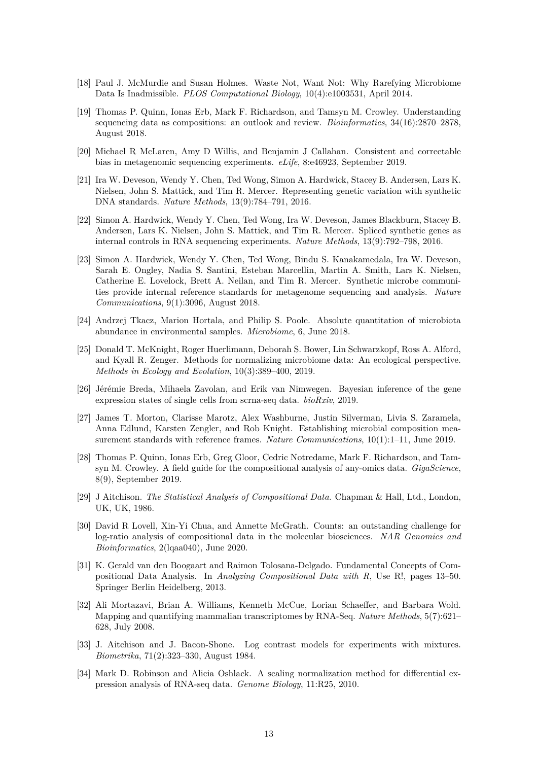- <span id="page-12-0"></span>[18] Paul J. McMurdie and Susan Holmes. Waste Not, Want Not: Why Rarefying Microbiome Data Is Inadmissible. *PLOS Computational Biology*, 10(4):e1003531, April 2014.
- <span id="page-12-1"></span>[19] Thomas P. Quinn, Ionas Erb, Mark F. Richardson, and Tamsyn M. Crowley. Understanding sequencing data as compositions: an outlook and review. *Bioinformatics*, 34(16):2870–2878, August 2018.
- <span id="page-12-2"></span>[20] Michael R McLaren, Amy D Willis, and Benjamin J Callahan. Consistent and correctable bias in metagenomic sequencing experiments. *eLife*, 8:e46923, September 2019.
- <span id="page-12-3"></span>[21] Ira W. Deveson, Wendy Y. Chen, Ted Wong, Simon A. Hardwick, Stacey B. Andersen, Lars K. Nielsen, John S. Mattick, and Tim R. Mercer. Representing genetic variation with synthetic DNA standards. *Nature Methods*, 13(9):784–791, 2016.
- <span id="page-12-4"></span>[22] Simon A. Hardwick, Wendy Y. Chen, Ted Wong, Ira W. Deveson, James Blackburn, Stacey B. Andersen, Lars K. Nielsen, John S. Mattick, and Tim R. Mercer. Spliced synthetic genes as internal controls in RNA sequencing experiments. *Nature Methods*, 13(9):792–798, 2016.
- <span id="page-12-5"></span>[23] Simon A. Hardwick, Wendy Y. Chen, Ted Wong, Bindu S. Kanakamedala, Ira W. Deveson, Sarah E. Ongley, Nadia S. Santini, Esteban Marcellin, Martin A. Smith, Lars K. Nielsen, Catherine E. Lovelock, Brett A. Neilan, and Tim R. Mercer. Synthetic microbe communities provide internal reference standards for metagenome sequencing and analysis. *Nature Communications*, 9(1):3096, August 2018.
- <span id="page-12-6"></span>[24] Andrzej Tkacz, Marion Hortala, and Philip S. Poole. Absolute quantitation of microbiota abundance in environmental samples. *Microbiome*, 6, June 2018.
- <span id="page-12-7"></span>[25] Donald T. McKnight, Roger Huerlimann, Deborah S. Bower, Lin Schwarzkopf, Ross A. Alford, and Kyall R. Zenger. Methods for normalizing microbiome data: An ecological perspective. *Methods in Ecology and Evolution*, 10(3):389–400, 2019.
- <span id="page-12-8"></span>[26] Jérémie Breda, Mihaela Zavolan, and Erik van Nimwegen. Bayesian inference of the gene expression states of single cells from scrna-seq data. *bioRxiv*, 2019.
- <span id="page-12-9"></span>[27] James T. Morton, Clarisse Marotz, Alex Washburne, Justin Silverman, Livia S. Zaramela, Anna Edlund, Karsten Zengler, and Rob Knight. Establishing microbial composition measurement standards with reference frames. *Nature Communications*, 10(1):1–11, June 2019.
- <span id="page-12-10"></span>[28] Thomas P. Quinn, Ionas Erb, Greg Gloor, Cedric Notredame, Mark F. Richardson, and Tamsyn M. Crowley. A field guide for the compositional analysis of any-omics data. *GigaScience*, 8(9), September 2019.
- <span id="page-12-11"></span>[29] J Aitchison. *The Statistical Analysis of Compositional Data*. Chapman & Hall, Ltd., London, UK, UK, 1986.
- <span id="page-12-12"></span>[30] David R Lovell, Xin-Yi Chua, and Annette McGrath. Counts: an outstanding challenge for log-ratio analysis of compositional data in the molecular biosciences. *NAR Genomics and Bioinformatics*, 2(lqaa040), June 2020.
- <span id="page-12-13"></span>[31] K. Gerald van den Boogaart and Raimon Tolosana-Delgado. Fundamental Concepts of Compositional Data Analysis. In *Analyzing Compositional Data with R*, Use R!, pages 13–50. Springer Berlin Heidelberg, 2013.
- <span id="page-12-14"></span>[32] Ali Mortazavi, Brian A. Williams, Kenneth McCue, Lorian Schaeffer, and Barbara Wold. Mapping and quantifying mammalian transcriptomes by RNA-Seq. *Nature Methods*, 5(7):621– 628, July 2008.
- <span id="page-12-15"></span>[33] J. Aitchison and J. Bacon-Shone. Log contrast models for experiments with mixtures. *Biometrika*, 71(2):323–330, August 1984.
- <span id="page-12-16"></span>[34] Mark D. Robinson and Alicia Oshlack. A scaling normalization method for differential expression analysis of RNA-seq data. *Genome Biology*, 11:R25, 2010.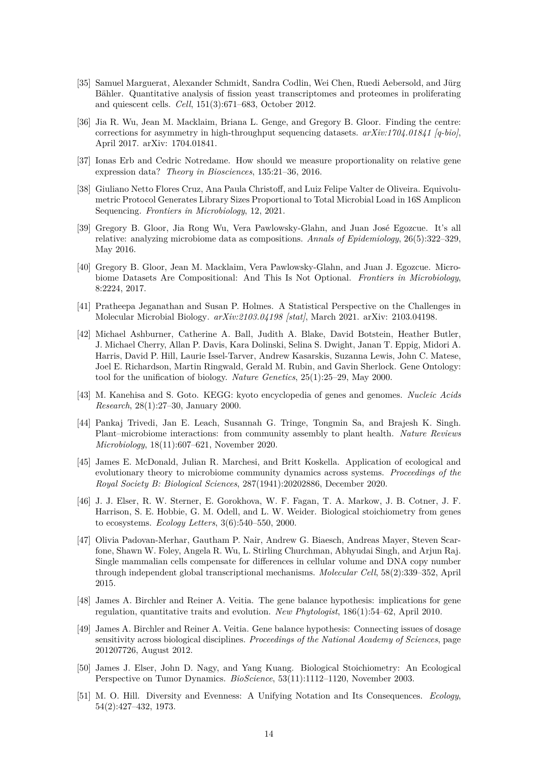- <span id="page-13-0"></span>[35] Samuel Marguerat, Alexander Schmidt, Sandra Codlin, Wei Chen, Ruedi Aebersold, and Jürg Bähler. Quantitative analysis of fission yeast transcriptomes and proteomes in proliferating and quiescent cells. *Cell*, 151(3):671–683, October 2012.
- <span id="page-13-1"></span>[36] Jia R. Wu, Jean M. Macklaim, Briana L. Genge, and Gregory B. Gloor. Finding the centre: corrections for asymmetry in high-throughput sequencing datasets. *arXiv:1704.01841 [q-bio]*, April 2017. arXiv: 1704.01841.
- <span id="page-13-2"></span>[37] Ionas Erb and Cedric Notredame. How should we measure proportionality on relative gene expression data? *Theory in Biosciences*, 135:21–36, 2016.
- <span id="page-13-6"></span>[38] Giuliano Netto Flores Cruz, Ana Paula Christoff, and Luiz Felipe Valter de Oliveira. Equivolumetric Protocol Generates Library Sizes Proportional to Total Microbial Load in 16S Amplicon Sequencing. *Frontiers in Microbiology*, 12, 2021.
- <span id="page-13-3"></span>[39] Gregory B. Gloor, Jia Rong Wu, Vera Pawlowsky-Glahn, and Juan José Egozcue. It's all relative: analyzing microbiome data as compositions. *Annals of Epidemiology*, 26(5):322–329, May 2016.
- <span id="page-13-4"></span>[40] Gregory B. Gloor, Jean M. Macklaim, Vera Pawlowsky-Glahn, and Juan J. Egozcue. Microbiome Datasets Are Compositional: And This Is Not Optional. *Frontiers in Microbiology*, 8:2224, 2017.
- <span id="page-13-5"></span>[41] Pratheepa Jeganathan and Susan P. Holmes. A Statistical Perspective on the Challenges in Molecular Microbial Biology. *arXiv:2103.04198 [stat]*, March 2021. arXiv: 2103.04198.
- <span id="page-13-7"></span>[42] Michael Ashburner, Catherine A. Ball, Judith A. Blake, David Botstein, Heather Butler, J. Michael Cherry, Allan P. Davis, Kara Dolinski, Selina S. Dwight, Janan T. Eppig, Midori A. Harris, David P. Hill, Laurie Issel-Tarver, Andrew Kasarskis, Suzanna Lewis, John C. Matese, Joel E. Richardson, Martin Ringwald, Gerald M. Rubin, and Gavin Sherlock. Gene Ontology: tool for the unification of biology. *Nature Genetics*, 25(1):25–29, May 2000.
- <span id="page-13-8"></span>[43] M. Kanehisa and S. Goto. KEGG: kyoto encyclopedia of genes and genomes. *Nucleic Acids Research*, 28(1):27–30, January 2000.
- <span id="page-13-9"></span>[44] Pankaj Trivedi, Jan E. Leach, Susannah G. Tringe, Tongmin Sa, and Brajesh K. Singh. Plant–microbiome interactions: from community assembly to plant health. *Nature Reviews Microbiology*, 18(11):607–621, November 2020.
- <span id="page-13-10"></span>[45] James E. McDonald, Julian R. Marchesi, and Britt Koskella. Application of ecological and evolutionary theory to microbiome community dynamics across systems. *Proceedings of the Royal Society B: Biological Sciences*, 287(1941):20202886, December 2020.
- <span id="page-13-11"></span>[46] J. J. Elser, R. W. Sterner, E. Gorokhova, W. F. Fagan, T. A. Markow, J. B. Cotner, J. F. Harrison, S. E. Hobbie, G. M. Odell, and L. W. Weider. Biological stoichiometry from genes to ecosystems. *Ecology Letters*, 3(6):540–550, 2000.
- <span id="page-13-12"></span>[47] Olivia Padovan-Merhar, Gautham P. Nair, Andrew G. Biaesch, Andreas Mayer, Steven Scarfone, Shawn W. Foley, Angela R. Wu, L. Stirling Churchman, Abhyudai Singh, and Arjun Raj. Single mammalian cells compensate for differences in cellular volume and DNA copy number through independent global transcriptional mechanisms. *Molecular Cell*, 58(2):339–352, April 2015.
- <span id="page-13-13"></span>[48] James A. Birchler and Reiner A. Veitia. The gene balance hypothesis: implications for gene regulation, quantitative traits and evolution. *New Phytologist*, 186(1):54–62, April 2010.
- <span id="page-13-14"></span>[49] James A. Birchler and Reiner A. Veitia. Gene balance hypothesis: Connecting issues of dosage sensitivity across biological disciplines. *Proceedings of the National Academy of Sciences*, page 201207726, August 2012.
- <span id="page-13-15"></span>[50] James J. Elser, John D. Nagy, and Yang Kuang. Biological Stoichiometry: An Ecological Perspective on Tumor Dynamics. *BioScience*, 53(11):1112–1120, November 2003.
- <span id="page-13-16"></span>[51] M. O. Hill. Diversity and Evenness: A Unifying Notation and Its Consequences. *Ecology*, 54(2):427–432, 1973.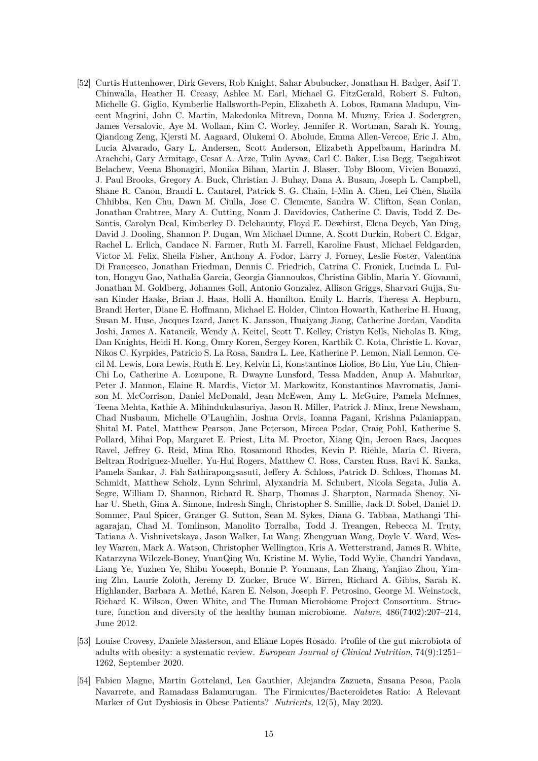- <span id="page-14-0"></span>[52] Curtis Huttenhower, Dirk Gevers, Rob Knight, Sahar Abubucker, Jonathan H. Badger, Asif T. Chinwalla, Heather H. Creasy, Ashlee M. Earl, Michael G. FitzGerald, Robert S. Fulton, Michelle G. Giglio, Kymberlie Hallsworth-Pepin, Elizabeth A. Lobos, Ramana Madupu, Vincent Magrini, John C. Martin, Makedonka Mitreva, Donna M. Muzny, Erica J. Sodergren, James Versalovic, Aye M. Wollam, Kim C. Worley, Jennifer R. Wortman, Sarah K. Young, Qiandong Zeng, Kjersti M. Aagaard, Olukemi O. Abolude, Emma Allen-Vercoe, Eric J. Alm, Lucia Alvarado, Gary L. Andersen, Scott Anderson, Elizabeth Appelbaum, Harindra M. Arachchi, Gary Armitage, Cesar A. Arze, Tulin Ayvaz, Carl C. Baker, Lisa Begg, Tsegahiwot Belachew, Veena Bhonagiri, Monika Bihan, Martin J. Blaser, Toby Bloom, Vivien Bonazzi, J. Paul Brooks, Gregory A. Buck, Christian J. Buhay, Dana A. Busam, Joseph L. Campbell, Shane R. Canon, Brandi L. Cantarel, Patrick S. G. Chain, I-Min A. Chen, Lei Chen, Shaila Chhibba, Ken Chu, Dawn M. Ciulla, Jose C. Clemente, Sandra W. Clifton, Sean Conlan, Jonathan Crabtree, Mary A. Cutting, Noam J. Davidovics, Catherine C. Davis, Todd Z. De-Santis, Carolyn Deal, Kimberley D. Delehaunty, Floyd E. Dewhirst, Elena Deych, Yan Ding, David J. Dooling, Shannon P. Dugan, Wm Michael Dunne, A. Scott Durkin, Robert C. Edgar, Rachel L. Erlich, Candace N. Farmer, Ruth M. Farrell, Karoline Faust, Michael Feldgarden, Victor M. Felix, Sheila Fisher, Anthony A. Fodor, Larry J. Forney, Leslie Foster, Valentina Di Francesco, Jonathan Friedman, Dennis C. Friedrich, Catrina C. Fronick, Lucinda L. Fulton, Hongyu Gao, Nathalia Garcia, Georgia Giannoukos, Christina Giblin, Maria Y. Giovanni, Jonathan M. Goldberg, Johannes Goll, Antonio Gonzalez, Allison Griggs, Sharvari Gujja, Susan Kinder Haake, Brian J. Haas, Holli A. Hamilton, Emily L. Harris, Theresa A. Hepburn, Brandi Herter, Diane E. Hoffmann, Michael E. Holder, Clinton Howarth, Katherine H. Huang, Susan M. Huse, Jacques Izard, Janet K. Jansson, Huaiyang Jiang, Catherine Jordan, Vandita Joshi, James A. Katancik, Wendy A. Keitel, Scott T. Kelley, Cristyn Kells, Nicholas B. King, Dan Knights, Heidi H. Kong, Omry Koren, Sergey Koren, Karthik C. Kota, Christie L. Kovar, Nikos C. Kyrpides, Patricio S. La Rosa, Sandra L. Lee, Katherine P. Lemon, Niall Lennon, Cecil M. Lewis, Lora Lewis, Ruth E. Ley, Kelvin Li, Konstantinos Liolios, Bo Liu, Yue Liu, Chien-Chi Lo, Catherine A. Lozupone, R. Dwayne Lunsford, Tessa Madden, Anup A. Mahurkar, Peter J. Mannon, Elaine R. Mardis, Victor M. Markowitz, Konstantinos Mavromatis, Jamison M. McCorrison, Daniel McDonald, Jean McEwen, Amy L. McGuire, Pamela McInnes, Teena Mehta, Kathie A. Mihindukulasuriya, Jason R. Miller, Patrick J. Minx, Irene Newsham, Chad Nusbaum, Michelle O'Laughlin, Joshua Orvis, Ioanna Pagani, Krishna Palaniappan, Shital M. Patel, Matthew Pearson, Jane Peterson, Mircea Podar, Craig Pohl, Katherine S. Pollard, Mihai Pop, Margaret E. Priest, Lita M. Proctor, Xiang Qin, Jeroen Raes, Jacques Ravel, Jeffrey G. Reid, Mina Rho, Rosamond Rhodes, Kevin P. Riehle, Maria C. Rivera, Beltran Rodriguez-Mueller, Yu-Hui Rogers, Matthew C. Ross, Carsten Russ, Ravi K. Sanka, Pamela Sankar, J. Fah Sathirapongsasuti, Jeffery A. Schloss, Patrick D. Schloss, Thomas M. Schmidt, Matthew Scholz, Lynn Schriml, Alyxandria M. Schubert, Nicola Segata, Julia A. Segre, William D. Shannon, Richard R. Sharp, Thomas J. Sharpton, Narmada Shenoy, Nihar U. Sheth, Gina A. Simone, Indresh Singh, Christopher S. Smillie, Jack D. Sobel, Daniel D. Sommer, Paul Spicer, Granger G. Sutton, Sean M. Sykes, Diana G. Tabbaa, Mathangi Thiagarajan, Chad M. Tomlinson, Manolito Torralba, Todd J. Treangen, Rebecca M. Truty, Tatiana A. Vishnivetskaya, Jason Walker, Lu Wang, Zhengyuan Wang, Doyle V. Ward, Wesley Warren, Mark A. Watson, Christopher Wellington, Kris A. Wetterstrand, James R. White, Katarzyna Wilczek-Boney, YuanQing Wu, Kristine M. Wylie, Todd Wylie, Chandri Yandava, Liang Ye, Yuzhen Ye, Shibu Yooseph, Bonnie P. Youmans, Lan Zhang, Yanjiao Zhou, Yiming Zhu, Laurie Zoloth, Jeremy D. Zucker, Bruce W. Birren, Richard A. Gibbs, Sarah K. Highlander, Barbara A. Methé, Karen E. Nelson, Joseph F. Petrosino, George M. Weinstock, Richard K. Wilson, Owen White, and The Human Microbiome Project Consortium. Structure, function and diversity of the healthy human microbiome. *Nature*, 486(7402):207–214, June 2012.
- <span id="page-14-1"></span>[53] Louise Crovesy, Daniele Masterson, and Eliane Lopes Rosado. Profile of the gut microbiota of adults with obesity: a systematic review. *European Journal of Clinical Nutrition*, 74(9):1251– 1262, September 2020.
- <span id="page-14-2"></span>[54] Fabien Magne, Martin Gotteland, Lea Gauthier, Alejandra Zazueta, Susana Pesoa, Paola Navarrete, and Ramadass Balamurugan. The Firmicutes/Bacteroidetes Ratio: A Relevant Marker of Gut Dysbiosis in Obese Patients? *Nutrients*, 12(5), May 2020.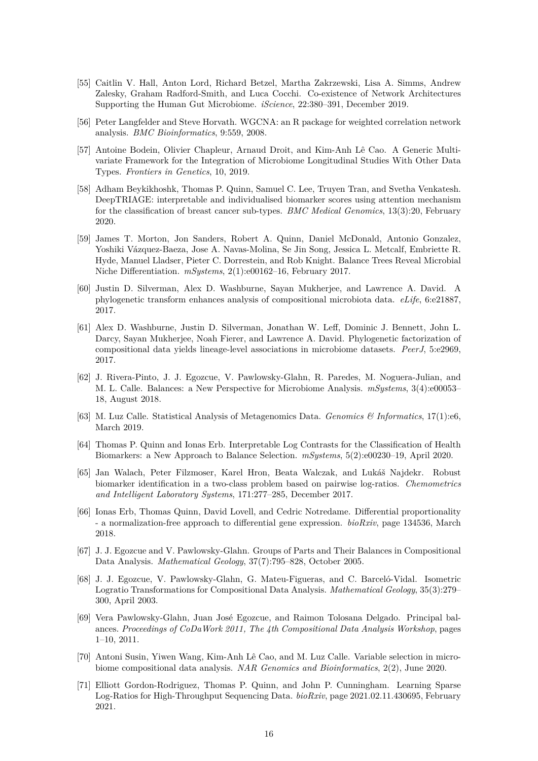- <span id="page-15-0"></span>[55] Caitlin V. Hall, Anton Lord, Richard Betzel, Martha Zakrzewski, Lisa A. Simms, Andrew Zalesky, Graham Radford-Smith, and Luca Cocchi. Co-existence of Network Architectures Supporting the Human Gut Microbiome. *iScience*, 22:380–391, December 2019.
- <span id="page-15-1"></span>[56] Peter Langfelder and Steve Horvath. WGCNA: an R package for weighted correlation network analysis. *BMC Bioinformatics*, 9:559, 2008.
- <span id="page-15-2"></span>[57] Antoine Bodein, Olivier Chapleur, Arnaud Droit, and Kim-Anh Lê Cao. A Generic Multivariate Framework for the Integration of Microbiome Longitudinal Studies With Other Data Types. *Frontiers in Genetics*, 10, 2019.
- <span id="page-15-3"></span>[58] Adham Beykikhoshk, Thomas P. Quinn, Samuel C. Lee, Truyen Tran, and Svetha Venkatesh. DeepTRIAGE: interpretable and individualised biomarker scores using attention mechanism for the classification of breast cancer sub-types. *BMC Medical Genomics*, 13(3):20, February 2020.
- <span id="page-15-4"></span>[59] James T. Morton, Jon Sanders, Robert A. Quinn, Daniel McDonald, Antonio Gonzalez, Yoshiki Vázquez-Baeza, Jose A. Navas-Molina, Se Jin Song, Jessica L. Metcalf, Embriette R. Hyde, Manuel Lladser, Pieter C. Dorrestein, and Rob Knight. Balance Trees Reveal Microbial Niche Differentiation. *mSystems*, 2(1):e00162–16, February 2017.
- <span id="page-15-5"></span>[60] Justin D. Silverman, Alex D. Washburne, Sayan Mukherjee, and Lawrence A. David. A phylogenetic transform enhances analysis of compositional microbiota data. *eLife*, 6:e21887, 2017.
- <span id="page-15-6"></span>[61] Alex D. Washburne, Justin D. Silverman, Jonathan W. Leff, Dominic J. Bennett, John L. Darcy, Sayan Mukherjee, Noah Fierer, and Lawrence A. David. Phylogenetic factorization of compositional data yields lineage-level associations in microbiome datasets. *PeerJ*, 5:e2969, 2017.
- <span id="page-15-7"></span>[62] J. Rivera-Pinto, J. J. Egozcue, V. Pawlowsky-Glahn, R. Paredes, M. Noguera-Julian, and M. L. Calle. Balances: a New Perspective for Microbiome Analysis. *mSystems*, 3(4):e00053– 18, August 2018.
- <span id="page-15-8"></span>[63] M. Luz Calle. Statistical Analysis of Metagenomics Data. *Genomics & Informatics*, 17(1):e6, March 2019.
- <span id="page-15-9"></span>[64] Thomas P. Quinn and Ionas Erb. Interpretable Log Contrasts for the Classification of Health Biomarkers: a New Approach to Balance Selection. *mSystems*, 5(2):e00230–19, April 2020.
- <span id="page-15-10"></span>[65] Jan Walach, Peter Filzmoser, Karel Hron, Beata Walczak, and Lukáš Najdekr. Robust biomarker identification in a two-class problem based on pairwise log-ratios. *Chemometrics and Intelligent Laboratory Systems*, 171:277–285, December 2017.
- <span id="page-15-11"></span>[66] Ionas Erb, Thomas Quinn, David Lovell, and Cedric Notredame. Differential proportionality - a normalization-free approach to differential gene expression. *bioRxiv*, page 134536, March 2018.
- <span id="page-15-12"></span>[67] J. J. Egozcue and V. Pawlowsky-Glahn. Groups of Parts and Their Balances in Compositional Data Analysis. *Mathematical Geology*, 37(7):795–828, October 2005.
- <span id="page-15-13"></span>[68] J. J. Egozcue, V. Pawlowsky-Glahn, G. Mateu-Figueras, and C. Barceló-Vidal. Isometric Logratio Transformations for Compositional Data Analysis. *Mathematical Geology*, 35(3):279– 300, April 2003.
- <span id="page-15-14"></span>[69] Vera Pawlowsky-Glahn, Juan José Egozcue, and Raimon Tolosana Delgado. Principal balances. *Proceedings of CoDaWork 2011, The 4th Compositional Data Analysis Workshop*, pages 1–10, 2011.
- <span id="page-15-15"></span>[70] Antoni Susin, Yiwen Wang, Kim-Anh Lê Cao, and M. Luz Calle. Variable selection in microbiome compositional data analysis. *NAR Genomics and Bioinformatics*, 2(2), June 2020.
- <span id="page-15-16"></span>[71] Elliott Gordon-Rodriguez, Thomas P. Quinn, and John P. Cunningham. Learning Sparse Log-Ratios for High-Throughput Sequencing Data. *bioRxiv*, page 2021.02.11.430695, February 2021.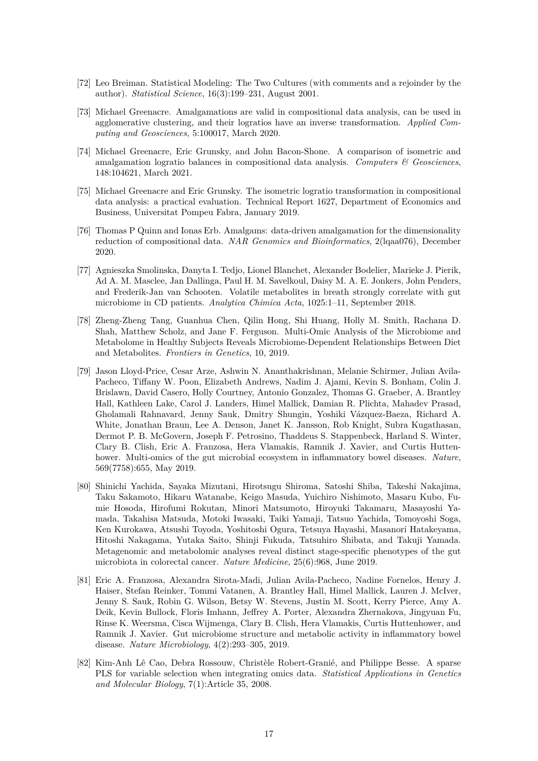- <span id="page-16-0"></span>[72] Leo Breiman. Statistical Modeling: The Two Cultures (with comments and a rejoinder by the author). *Statistical Science*, 16(3):199–231, August 2001.
- <span id="page-16-1"></span>[73] Michael Greenacre. Amalgamations are valid in compositional data analysis, can be used in agglomerative clustering, and their logratios have an inverse transformation. *Applied Computing and Geosciences*, 5:100017, March 2020.
- <span id="page-16-2"></span>[74] Michael Greenacre, Eric Grunsky, and John Bacon-Shone. A comparison of isometric and amalgamation logratio balances in compositional data analysis. *Computers & Geosciences*, 148:104621, March 2021.
- <span id="page-16-3"></span>[75] Michael Greenacre and Eric Grunsky. The isometric logratio transformation in compositional data analysis: a practical evaluation. Technical Report 1627, Department of Economics and Business, Universitat Pompeu Fabra, January 2019.
- <span id="page-16-4"></span>[76] Thomas P Quinn and Ionas Erb. Amalgams: data-driven amalgamation for the dimensionality reduction of compositional data. *NAR Genomics and Bioinformatics*, 2(lqaa076), December 2020.
- <span id="page-16-5"></span>[77] Agnieszka Smolinska, Danyta I. Tedjo, Lionel Blanchet, Alexander Bodelier, Marieke J. Pierik, Ad A. M. Masclee, Jan Dallinga, Paul H. M. Savelkoul, Daisy M. A. E. Jonkers, John Penders, and Frederik-Jan van Schooten. Volatile metabolites in breath strongly correlate with gut microbiome in CD patients. *Analytica Chimica Acta*, 1025:1–11, September 2018.
- <span id="page-16-6"></span>[78] Zheng-Zheng Tang, Guanhua Chen, Qilin Hong, Shi Huang, Holly M. Smith, Rachana D. Shah, Matthew Scholz, and Jane F. Ferguson. Multi-Omic Analysis of the Microbiome and Metabolome in Healthy Subjects Reveals Microbiome-Dependent Relationships Between Diet and Metabolites. *Frontiers in Genetics*, 10, 2019.
- <span id="page-16-7"></span>[79] Jason Lloyd-Price, Cesar Arze, Ashwin N. Ananthakrishnan, Melanie Schirmer, Julian Avila-Pacheco, Tiffany W. Poon, Elizabeth Andrews, Nadim J. Ajami, Kevin S. Bonham, Colin J. Brislawn, David Casero, Holly Courtney, Antonio Gonzalez, Thomas G. Graeber, A. Brantley Hall, Kathleen Lake, Carol J. Landers, Himel Mallick, Damian R. Plichta, Mahadev Prasad, Gholamali Rahnavard, Jenny Sauk, Dmitry Shungin, Yoshiki Vázquez-Baeza, Richard A. White, Jonathan Braun, Lee A. Denson, Janet K. Jansson, Rob Knight, Subra Kugathasan, Dermot P. B. McGovern, Joseph F. Petrosino, Thaddeus S. Stappenbeck, Harland S. Winter, Clary B. Clish, Eric A. Franzosa, Hera Vlamakis, Ramnik J. Xavier, and Curtis Huttenhower. Multi-omics of the gut microbial ecosystem in inflammatory bowel diseases. *Nature*, 569(7758):655, May 2019.
- <span id="page-16-8"></span>[80] Shinichi Yachida, Sayaka Mizutani, Hirotsugu Shiroma, Satoshi Shiba, Takeshi Nakajima, Taku Sakamoto, Hikaru Watanabe, Keigo Masuda, Yuichiro Nishimoto, Masaru Kubo, Fumie Hosoda, Hirofumi Rokutan, Minori Matsumoto, Hiroyuki Takamaru, Masayoshi Yamada, Takahisa Matsuda, Motoki Iwasaki, Taiki Yamaji, Tatsuo Yachida, Tomoyoshi Soga, Ken Kurokawa, Atsushi Toyoda, Yoshitoshi Ogura, Tetsuya Hayashi, Masanori Hatakeyama, Hitoshi Nakagama, Yutaka Saito, Shinji Fukuda, Tatsuhiro Shibata, and Takuji Yamada. Metagenomic and metabolomic analyses reveal distinct stage-specific phenotypes of the gut microbiota in colorectal cancer. *Nature Medicine*, 25(6):968, June 2019.
- <span id="page-16-9"></span>[81] Eric A. Franzosa, Alexandra Sirota-Madi, Julian Avila-Pacheco, Nadine Fornelos, Henry J. Haiser, Stefan Reinker, Tommi Vatanen, A. Brantley Hall, Himel Mallick, Lauren J. McIver, Jenny S. Sauk, Robin G. Wilson, Betsy W. Stevens, Justin M. Scott, Kerry Pierce, Amy A. Deik, Kevin Bullock, Floris Imhann, Jeffrey A. Porter, Alexandra Zhernakova, Jingyuan Fu, Rinse K. Weersma, Cisca Wijmenga, Clary B. Clish, Hera Vlamakis, Curtis Huttenhower, and Ramnik J. Xavier. Gut microbiome structure and metabolic activity in inflammatory bowel disease. *Nature Microbiology*, 4(2):293–305, 2019.
- <span id="page-16-10"></span>[82] Kim-Anh Lê Cao, Debra Rossouw, Christèle Robert-Granié, and Philippe Besse. A sparse PLS for variable selection when integrating omics data. *Statistical Applications in Genetics and Molecular Biology*, 7(1):Article 35, 2008.